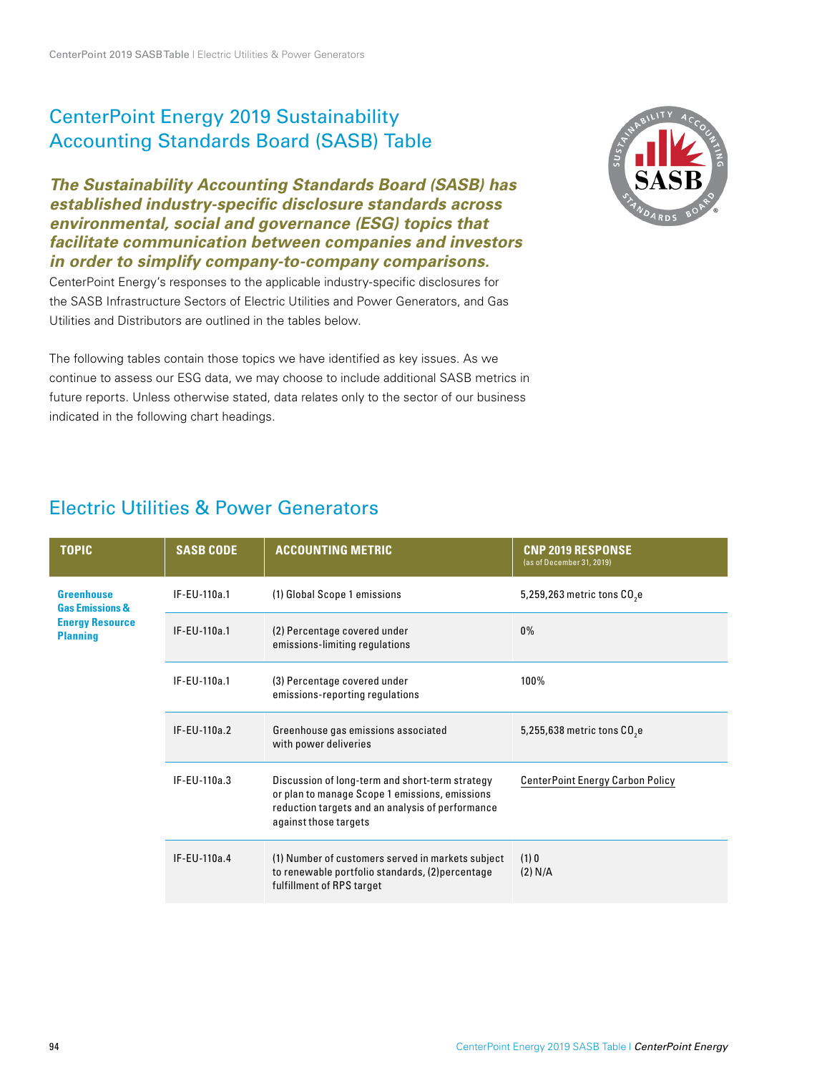### CenterPoint Energy 2019 Sustainability Accounting Standards Board (SASB) Table

**The Sustainability Accounting Standards Board (SASB) has established industry-specific disclosure standards across environmental, social and governance (ESG) topics that facilitate communication between companies and investors in order to simplify company-to-company comparisons.**

CenterPoint Energy's responses to the applicable industry-specific disclosures for the SASB Infrastructure Sectors of Electric Utilities and Power Generators, and Gas Utilities and Distributors are outlined in the tables below.

The following tables contain those topics we have identified as key issues. As we continue to assess our ESG data, we may choose to include additional SASB metrics in future reports. Unless otherwise stated, data relates only to the sector of our business indicated in the following chart headings.

### Electric Utilities & Power Generators

| <b>TOPIC</b>                                                                                 | <b>SASB CODE</b> | <b>ACCOUNTING METRIC</b>                                                                                                                                                       | <b>CNP 2019 RESPONSE</b><br>(as of December 31, 2019) |
|----------------------------------------------------------------------------------------------|------------------|--------------------------------------------------------------------------------------------------------------------------------------------------------------------------------|-------------------------------------------------------|
| <b>Greenhouse</b><br><b>Gas Emissions &amp;</b><br><b>Energy Resource</b><br><b>Planning</b> | IF-EU-110a.1     | (1) Global Scope 1 emissions                                                                                                                                                   | 5,259,263 metric tons CO <sub>2</sub> e               |
|                                                                                              | IF-EU-110a.1     | (2) Percentage covered under<br>emissions-limiting regulations                                                                                                                 | $0\%$                                                 |
|                                                                                              | IF-EU-110a.1     | (3) Percentage covered under<br>emissions-reporting regulations                                                                                                                | 100%                                                  |
|                                                                                              | IF-EU-110a.2     | Greenhouse gas emissions associated<br>with power deliveries                                                                                                                   | 5,255,638 metric tons CO <sub>2</sub> e               |
|                                                                                              | IF-EU-110a.3     | Discussion of long-term and short-term strategy<br>or plan to manage Scope 1 emissions, emissions<br>reduction targets and an analysis of performance<br>against those targets | <b>CenterPoint Energy Carbon Policy</b>               |
|                                                                                              | IF-EU-110a.4     | (1) Number of customers served in markets subject<br>to renewable portfolio standards, (2) percentage<br>fulfillment of RPS target                                             | (1)0<br>(2) N/A                                       |

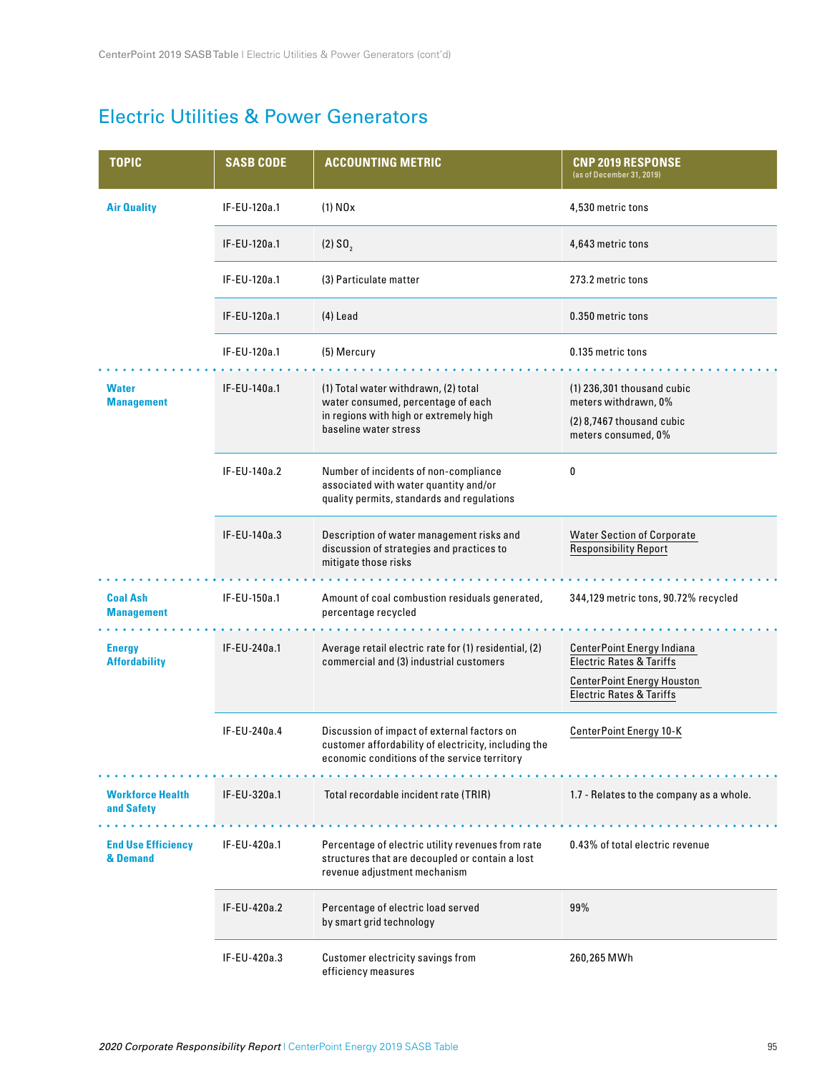### Electric Utilities & Power Generators

| <b>TOPIC</b>                          | <b>SASB CODE</b> | <b>ACCOUNTING METRIC</b>                                                                                                                            | <b>CNP 2019 RESPONSE</b><br>(as of December 31, 2019)                                                                                         |
|---------------------------------------|------------------|-----------------------------------------------------------------------------------------------------------------------------------------------------|-----------------------------------------------------------------------------------------------------------------------------------------------|
| <b>Air Quality</b>                    | IF-EU-120a.1     | $(1)$ NO <sub>x</sub>                                                                                                                               | 4,530 metric tons                                                                                                                             |
|                                       | IF-EU-120a.1     | $(2)$ SO <sub>2</sub>                                                                                                                               | 4,643 metric tons                                                                                                                             |
|                                       | IF-EU-120a.1     | (3) Particulate matter                                                                                                                              | 273.2 metric tons                                                                                                                             |
|                                       | IF-EU-120a.1     | $(4)$ Lead                                                                                                                                          | 0.350 metric tons                                                                                                                             |
|                                       | IF-EU-120a.1     | (5) Mercury                                                                                                                                         | 0.135 metric tons                                                                                                                             |
| <b>Water</b><br><b>Management</b>     | IF-EU-140a.1     | (1) Total water withdrawn, (2) total<br>water consumed, percentage of each<br>in regions with high or extremely high<br>baseline water stress       | $(1)$ 236,301 thousand cubic<br>meters withdrawn, 0%<br>(2) 8,7467 thousand cubic<br>meters consumed, 0%                                      |
|                                       | IF-EU-140a.2     | Number of incidents of non-compliance<br>associated with water quantity and/or<br>quality permits, standards and regulations                        | 0                                                                                                                                             |
|                                       | IF-EU-140a.3     | Description of water management risks and<br>discussion of strategies and practices to<br>mitigate those risks                                      | <b>Water Section of Corporate</b><br><b>Responsibility Report</b>                                                                             |
| <b>Coal Ash</b><br><b>Management</b>  | IF-EU-150a.1     | Amount of coal combustion residuals generated,<br>percentage recycled                                                                               | 344,129 metric tons, 90.72% recycled                                                                                                          |
| <b>Energy</b><br><b>Affordability</b> | IF-EU-240a.1     | Average retail electric rate for (1) residential, (2)<br>commercial and (3) industrial customers                                                    | CenterPoint Energy Indiana<br><b>Electric Rates &amp; Tariffs</b><br><b>CenterPoint Energy Houston</b><br><b>Electric Rates &amp; Tariffs</b> |
|                                       | IF-EU-240a.4     | Discussion of impact of external factors on<br>customer affordability of electricity, including the<br>economic conditions of the service territory | CenterPoint Energy 10-K                                                                                                                       |
| <b>Workforce Health</b><br>and Safety | IF-EU-320a.1     | .<br>Total recordable incident rate (TRIR)                                                                                                          | 1.7 - Relates to the company as a whole.                                                                                                      |
| <b>End Use Efficiency</b><br>& Demand | IF-EU-420a.1     | Percentage of electric utility revenues from rate<br>structures that are decoupled or contain a lost<br>revenue adjustment mechanism                | 0.43% of total electric revenue                                                                                                               |
|                                       | IF-EU-420a.2     | Percentage of electric load served<br>by smart grid technology                                                                                      | 99%                                                                                                                                           |
|                                       | IF-EU-420a.3     | Customer electricity savings from<br>efficiency measures                                                                                            | 260,265 MWh                                                                                                                                   |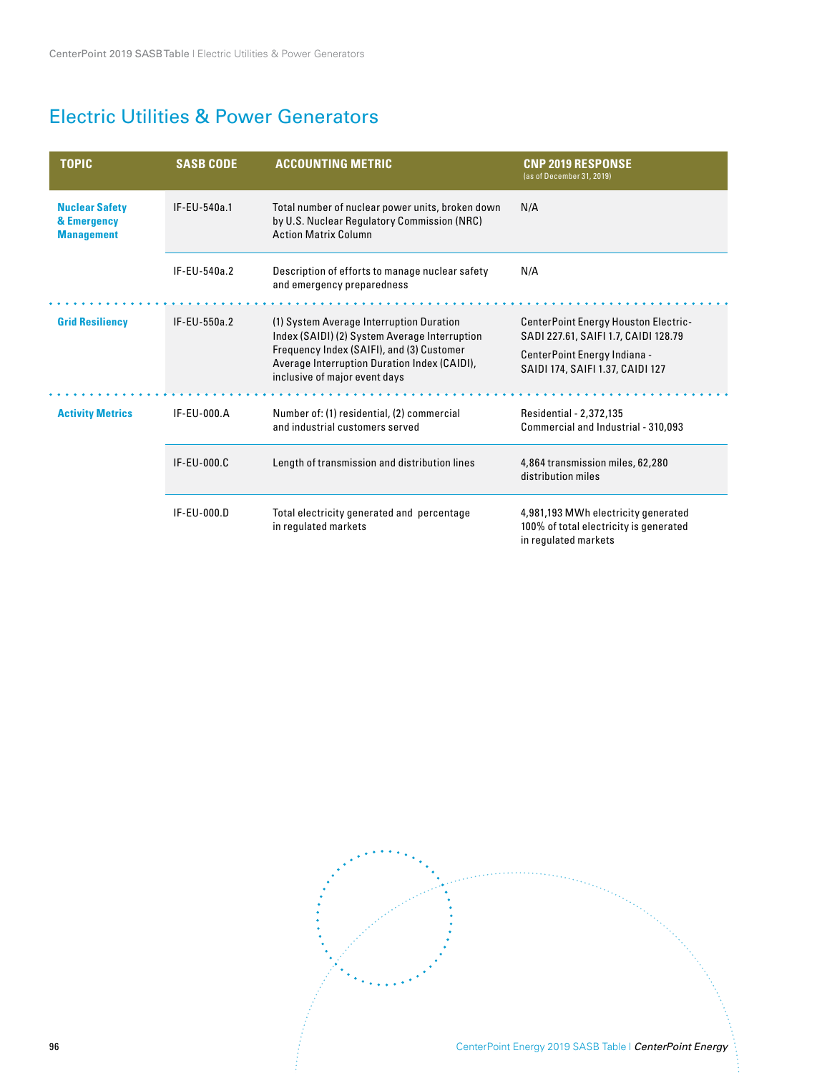# Electric Utilities & Power Generators

| <b>TOPIC</b>                                              | <b>SASB CODE</b> | <b>ACCOUNTING METRIC</b>                                                                                                                                                                                                | <b>CNP 2019 RESPONSE</b><br>(as of December 31, 2019)                                                 |
|-----------------------------------------------------------|------------------|-------------------------------------------------------------------------------------------------------------------------------------------------------------------------------------------------------------------------|-------------------------------------------------------------------------------------------------------|
| <b>Nuclear Safety</b><br>& Emergency<br><b>Management</b> | IF-EU-540a.1     | Total number of nuclear power units, broken down<br>by U.S. Nuclear Regulatory Commission (NRC)<br><b>Action Matrix Column</b>                                                                                          | N/A                                                                                                   |
|                                                           | IF-EU-540a.2     | Description of efforts to manage nuclear safety<br>and emergency preparedness                                                                                                                                           | N/A                                                                                                   |
| <b>Grid Resiliency</b>                                    | IF-EU-550a.2     | (1) System Average Interruption Duration<br>Index (SAIDI) (2) System Average Interruption<br>Frequency Index (SAIFI), and (3) Customer<br>Average Interruption Duration Index (CAIDI),<br>inclusive of major event days | <b>CenterPoint Energy Houston Electric-</b><br>SADI 227.61, SAIFI 1.7, CAIDI 128.79                   |
|                                                           |                  |                                                                                                                                                                                                                         | CenterPoint Energy Indiana -<br>SAIDI 174, SAIFI 1.37, CAIDI 127                                      |
| <b>Activity Metrics</b>                                   | IF-EU-000.A      | Number of: (1) residential, (2) commercial<br>and industrial customers served                                                                                                                                           | Residential - 2,372,135<br>Commercial and Industrial - 310,093                                        |
|                                                           | IF-EU-000.C      | Length of transmission and distribution lines                                                                                                                                                                           | 4,864 transmission miles, 62,280<br>distribution miles                                                |
|                                                           | IF-EU-000.D      | Total electricity generated and percentage<br>in regulated markets                                                                                                                                                      | 4,981,193 MWh electricity generated<br>100% of total electricity is generated<br>in regulated markets |